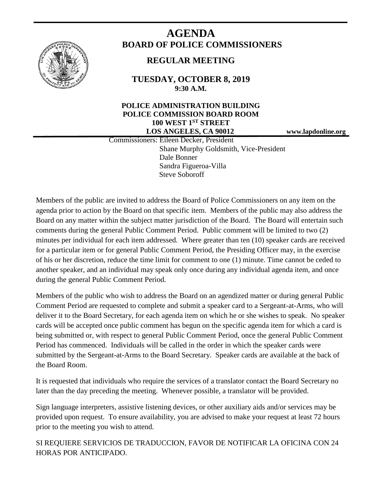

# **AGENDA BOARD OF POLICE COMMISSIONERS**

## **REGULAR MEETING**

**TUESDAY, OCTOBER 8, 2019 9:30 A.M.**

#### **POLICE ADMINISTRATION BUILDING POLICE COMMISSION BOARD ROOM 100 WEST 1ST STREET LOS ANGELES, CA 90012 www.lapdonline.org**

 Commissioners: Eileen Decker, President Shane Murphy Goldsmith, Vice-President Dale Bonner Sandra Figueroa-Villa Steve Soboroff

Members of the public are invited to address the Board of Police Commissioners on any item on the agenda prior to action by the Board on that specific item. Members of the public may also address the Board on any matter within the subject matter jurisdiction of the Board. The Board will entertain such comments during the general Public Comment Period. Public comment will be limited to two (2) minutes per individual for each item addressed. Where greater than ten (10) speaker cards are received for a particular item or for general Public Comment Period, the Presiding Officer may, in the exercise of his or her discretion, reduce the time limit for comment to one (1) minute. Time cannot be ceded to another speaker, and an individual may speak only once during any individual agenda item, and once during the general Public Comment Period.

Members of the public who wish to address the Board on an agendized matter or during general Public Comment Period are requested to complete and submit a speaker card to a Sergeant-at-Arms, who will deliver it to the Board Secretary, for each agenda item on which he or she wishes to speak. No speaker cards will be accepted once public comment has begun on the specific agenda item for which a card is being submitted or, with respect to general Public Comment Period, once the general Public Comment Period has commenced. Individuals will be called in the order in which the speaker cards were submitted by the Sergeant-at-Arms to the Board Secretary. Speaker cards are available at the back of the Board Room.

It is requested that individuals who require the services of a translator contact the Board Secretary no later than the day preceding the meeting. Whenever possible, a translator will be provided.

Sign language interpreters, assistive listening devices, or other auxiliary aids and/or services may be provided upon request. To ensure availability, you are advised to make your request at least 72 hours prior to the meeting you wish to attend.

SI REQUIERE SERVICIOS DE TRADUCCION, FAVOR DE NOTIFICAR LA OFICINA CON 24 HORAS POR ANTICIPADO.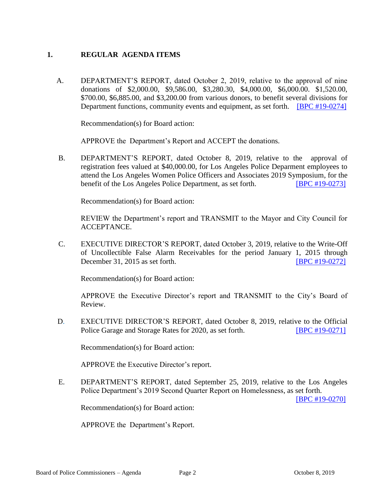#### **1. REGULAR AGENDA ITEMS**

 A. DEPARTMENT'S REPORT, dated October 2, 2019, relative to the approval of nine donations of \$2,000.00, \$9,586.00, \$3,280.30, \$4,000.00, \$6,000.00. \$1,520.00, \$700.00, \$6,885.00, and \$3,200.00 from various donors, to benefit several divisions for Department functions, community events and equipment, as set forth. [\[BPC #19-0274\]](http://www.lapdpolicecom.lacity.org/100819/BPC_19-0274.pdf)

Recommendation(s) for Board action:

APPROVE the Department's Report and ACCEPT the donations.

B. DEPARTMENT'S REPORT, dated October 8, 2019, relative to the approval of registration fees valued at \$40,000.00, for Los Angeles Police Deparment employees to attend the Los Angeles Women Police Officers and Associates 2019 Symposium, for the benefit of the Los Angeles Police Department, as set forth. [\[BPC #19-0273\]](http://www.lapdpolicecom.lacity.org/100819/BPC_19-0273.pdf) 

Recommendation(s) for Board action:

REVIEW the Department's report and TRANSMIT to the Mayor and City Council for ACCEPTANCE.

C. EXECUTIVE DIRECTOR'S REPORT, dated October 3, 2019, relative to the Write-Off of Uncollectible False Alarm Receivables for the period January 1, 2015 through December 31, 2015 as set forth. [\[BPC #19-0272\]](http://www.lapdpolicecom.lacity.org/100819/BPC_19-0272.pdf)

Recommendation(s) for Board action:

APPROVE the Executive Director's report and TRANSMIT to the City's Board of Review.

D. EXECUTIVE DIRECTOR'S REPORT, dated October 8, 2019, relative to the Official Police Garage and Storage Rates for 2020, as set forth. **[\[BPC #19-0271\]](http://www.lapdpolicecom.lacity.org/100819/BPC_19-0271.pdf)** 

Recommendation(s) for Board action:

APPROVE the Executive Director's report.

 E. DEPARTMENT'S REPORT, dated September 25, 2019, relative to the Los Angeles Police Department's 2019 Second Quarter Report on Homelessness, as set forth.

[\[BPC #19-0270\]](http://www.lapdpolicecom.lacity.org/100819/BPC_19-0270.pdf)

Recommendation(s) for Board action:

APPROVE the Department's Report.